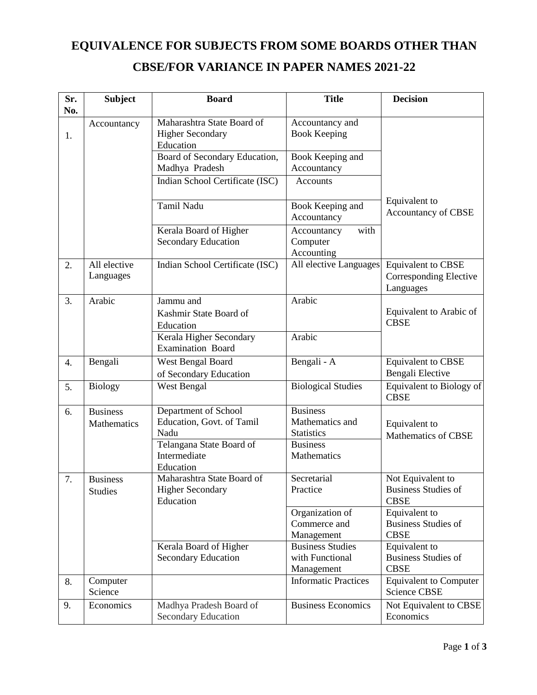## **EQUIVALENCE FOR SUBJECTS FROM SOME BOARDS OTHER THAN CBSE/FOR VARIANCE IN PAPER NAMES 2021-22**

| Sr.<br>No. | <b>Subject</b>                    | <b>Board</b>                                                       | <b>Title</b>                                             | <b>Decision</b>                                                  |
|------------|-----------------------------------|--------------------------------------------------------------------|----------------------------------------------------------|------------------------------------------------------------------|
| 1.         | Accountancy                       | Maharashtra State Board of<br><b>Higher Secondary</b><br>Education | Accountancy and<br><b>Book Keeping</b>                   |                                                                  |
|            |                                   | Board of Secondary Education,<br>Madhya Pradesh                    | Book Keeping and<br>Accountancy                          |                                                                  |
|            |                                   | Indian School Certificate (ISC)                                    | <b>Accounts</b>                                          |                                                                  |
|            |                                   | Tamil Nadu                                                         | Book Keeping and<br>Accountancy                          | Equivalent to<br><b>Accountancy of CBSE</b>                      |
|            |                                   | Kerala Board of Higher<br><b>Secondary Education</b>               | with<br>Accountancy<br>Computer<br>Accounting            |                                                                  |
| 2.         | All elective<br>Languages         | Indian School Certificate (ISC)                                    | All elective Languages                                   | <b>Equivalent to CBSE</b><br>Corresponding Elective<br>Languages |
| 3.         | Arabic                            | Jammu and<br>Kashmir State Board of<br>Education                   | Arabic                                                   | Equivalent to Arabic of<br><b>CBSE</b>                           |
|            |                                   | Kerala Higher Secondary<br><b>Examination Board</b>                | Arabic                                                   |                                                                  |
| 4.         | Bengali                           | West Bengal Board<br>of Secondary Education                        | Bengali - A                                              | <b>Equivalent to CBSE</b><br>Bengali Elective                    |
| 5.         | <b>Biology</b>                    | West Bengal                                                        | <b>Biological Studies</b>                                | Equivalent to Biology of<br><b>CBSE</b>                          |
| 6.         | <b>Business</b><br>Mathematics    | Department of School<br>Education, Govt. of Tamil<br>Nadu          | <b>Business</b><br>Mathematics and<br><b>Statistics</b>  | Equivalent to<br><b>Mathematics of CBSE</b>                      |
|            |                                   | Telangana State Board of<br>Intermediate<br>Education              | <b>Business</b><br>Mathematics                           |                                                                  |
| 7.         | <b>Business</b><br><b>Studies</b> | Maharashtra State Board of<br><b>Higher Secondary</b><br>Education | Secretarial<br>Practice                                  | Not Equivalent to<br><b>Business Studies of</b><br><b>CBSE</b>   |
|            |                                   |                                                                    | Organization of<br>Commerce and<br>Management            | Equivalent to<br><b>Business Studies of</b><br><b>CBSE</b>       |
|            |                                   | Kerala Board of Higher<br><b>Secondary Education</b>               | <b>Business Studies</b><br>with Functional<br>Management | Equivalent to<br><b>Business Studies of</b><br><b>CBSE</b>       |
| 8.         | Computer<br>Science               |                                                                    | <b>Informatic Practices</b>                              | <b>Equivalent to Computer</b><br><b>Science CBSE</b>             |
| 9.         | Economics                         | Madhya Pradesh Board of<br><b>Secondary Education</b>              | <b>Business Economics</b>                                | Not Equivalent to CBSE<br>Economics                              |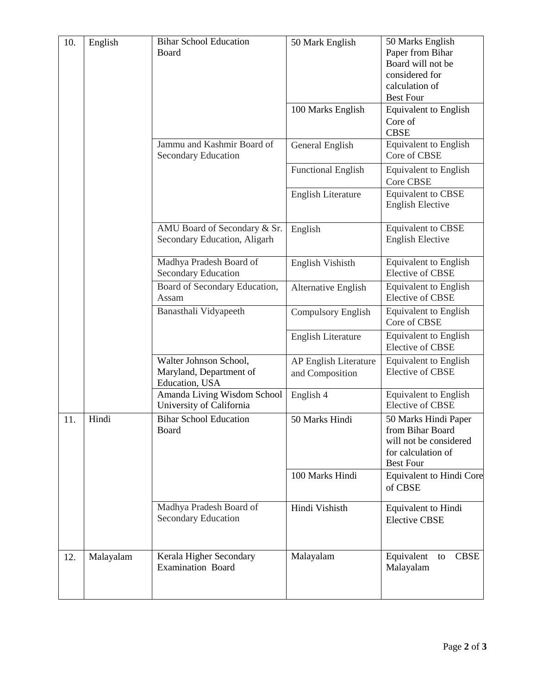| 10. | English   | <b>Bihar School Education</b> | 50 Mark English           | 50 Marks English                |
|-----|-----------|-------------------------------|---------------------------|---------------------------------|
|     |           | Board                         |                           | Paper from Bihar                |
|     |           |                               |                           | Board will not be               |
|     |           |                               |                           | considered for                  |
|     |           |                               |                           | calculation of                  |
|     |           |                               |                           | <b>Best Four</b>                |
|     |           |                               | 100 Marks English         | <b>Equivalent to English</b>    |
|     |           |                               |                           | Core of                         |
|     |           |                               |                           | <b>CBSE</b>                     |
|     |           | Jammu and Kashmir Board of    | General English           | <b>Equivalent</b> to English    |
|     |           | Secondary Education           |                           | Core of CBSE                    |
|     |           |                               | <b>Functional English</b> | <b>Equivalent</b> to English    |
|     |           |                               |                           | Core CBSE                       |
|     |           |                               | English Literature        | <b>Equivalent to CBSE</b>       |
|     |           |                               |                           | <b>English Elective</b>         |
|     |           |                               |                           |                                 |
|     |           | AMU Board of Secondary & Sr.  | English                   | <b>Equivalent to CBSE</b>       |
|     |           | Secondary Education, Aligarh  |                           | <b>English Elective</b>         |
|     |           |                               |                           |                                 |
|     |           | Madhya Pradesh Board of       | English Vishisth          | Equivalent to English           |
|     |           | Secondary Education           |                           | <b>Elective of CBSE</b>         |
|     |           | Board of Secondary Education, | Alternative English       | Equivalent to English           |
|     |           | Assam                         |                           | <b>Elective of CBSE</b>         |
|     |           | Banasthali Vidyapeeth         | <b>Compulsory English</b> | <b>Equivalent</b> to English    |
|     |           |                               |                           | Core of CBSE                    |
|     |           |                               | English Literature        | <b>Equivalent to English</b>    |
|     |           |                               |                           | <b>Elective of CBSE</b>         |
|     |           | Walter Johnson School,        | AP English Literature     | <b>Equivalent</b> to English    |
|     |           | Maryland, Department of       | and Composition           | <b>Elective of CBSE</b>         |
|     |           | Education, USA                |                           |                                 |
|     |           | Amanda Living Wisdom School   | English 4                 | <b>Equivalent</b> to English    |
|     |           | University of California      |                           | <b>Elective of CBSE</b>         |
| 11. | Hindi     | <b>Bihar School Education</b> | 50 Marks Hindi            | 50 Marks Hindi Paper            |
|     |           | Board                         |                           | from Bihar Board                |
|     |           |                               |                           | will not be considered          |
|     |           |                               |                           | for calculation of              |
|     |           |                               |                           | <b>Best Four</b>                |
|     |           |                               | 100 Marks Hindi           | <b>Equivalent to Hindi Core</b> |
|     |           |                               |                           | of CBSE                         |
|     |           |                               |                           |                                 |
|     |           | Madhya Pradesh Board of       | Hindi Vishisth            | Equivalent to Hindi             |
|     |           | <b>Secondary Education</b>    |                           | <b>Elective CBSE</b>            |
|     |           |                               |                           |                                 |
|     |           |                               |                           |                                 |
| 12. | Malayalam | Kerala Higher Secondary       | Malayalam                 | Equivalent<br><b>CBSE</b><br>to |
|     |           | <b>Examination Board</b>      |                           | Malayalam                       |
|     |           |                               |                           |                                 |
|     |           |                               |                           |                                 |